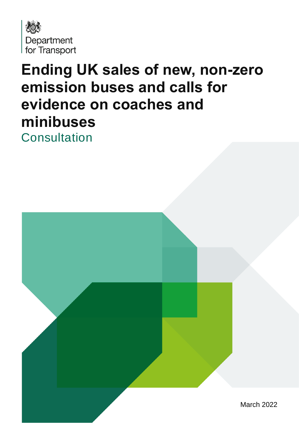

# **Ending UK sales of new, non-zero emission buses and calls for evidence on coaches and minibuses**

**Consultation** 

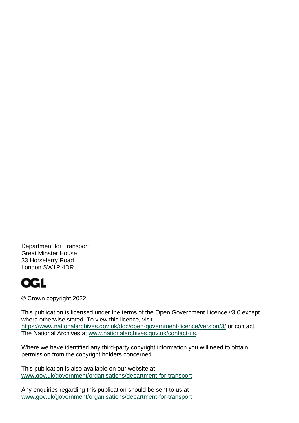Department for Transport Great Minster House 33 Horseferry Road London SW1P 4DR



© Crown copyright 2022

This publication is licensed under the terms of the Open Government Licence v3.0 except where otherwise stated. To view this licence, visit <https://www.nationalarchives.gov.uk/doc/open-government-licence/version/3/> or contact, The National Archives at [www.nationalarchives.gov.uk/contact-us.](http://www.nationalarchives.gov.uk/contact-us)

Where we have identified any third-party copyright information you will need to obtain permission from the copyright holders concerned.

This publication is also available on our website at [www.gov.uk/government/organisations/department-for-transport](http://www.gov.uk/government/organisations/department-for-transport)

Any enquiries regarding this publication should be sent to us at [www.gov.uk/government/organisations/department-for-transport](http://www.gov.uk/government/organisations/department-for-transport)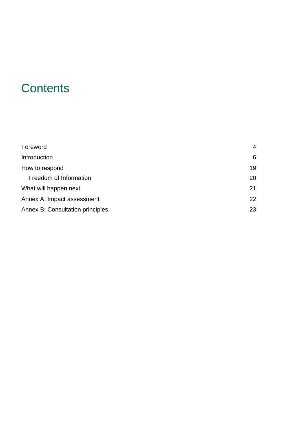## **Contents**

| Foreword                         | $\overline{4}$ |
|----------------------------------|----------------|
| Introduction                     | 6              |
| How to respond                   | 19             |
| Freedom of Information           | 20             |
| What will happen next            | 21             |
| Annex A: Impact assessment       | 22             |
| Annex B: Consultation principles | 23             |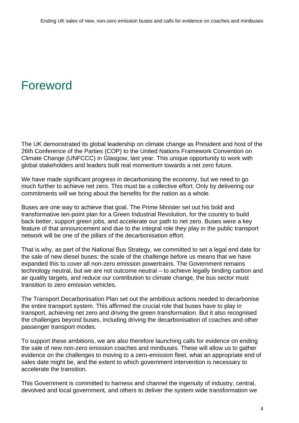## <span id="page-3-0"></span>Foreword

The UK demonstrated its global leadership on climate change as President and host of the 26th Conference of the Parties (COP) to the United Nations Framework Convention on Climate Change (UNFCCC) in Glasgow, last year. This unique opportunity to work with global stakeholders and leaders built real momentum towards a net zero future.

We have made significant progress in decarbonising the economy, but we need to go much further to achieve net zero. This must be a collective effort. Only by delivering our commitments will we bring about the benefits for the nation as a whole.

Buses are one way to achieve that goal. The Prime Minister set out his bold and transformative ten-point plan for a Green Industrial Revolution, for the country to build back better, support green jobs, and accelerate our path to net zero. Buses were a key feature of that announcement and due to the integral role they play in the public transport network will be one of the pillars of the decarbonisation effort.

That is why, as part of the National Bus Strategy, we committed to set a legal end date for the sale of new diesel buses; the scale of the challenge before us means that we have expanded this to cover all non-zero emission powertrains. The Government remains technology neutral, but we are not outcome neutral – to achieve legally binding carbon and air quality targets, and reduce our contribution to climate change, the bus sector must transition to zero emission vehicles.

The Transport Decarbonisation Plan set out the ambitious actions needed to decarbonise the entire transport system. This affirmed the crucial role that buses have to play in transport, achieving net zero and driving the green transformation. But it also recognised the challenges beyond buses, including driving the decarbonisation of coaches and other passenger transport modes.

To support these ambitions, we are also therefore launching calls for evidence on ending the sale of new non-zero emission coaches and minibuses. These will allow us to gather evidence on the challenges to moving to a zero-emission fleet, what an appropriate end of sales date might be, and the extent to which government intervention is necessary to accelerate the transition.

This Government is committed to harness and channel the ingenuity of industry, central, devolved and local government, and others to deliver the system wide transformation we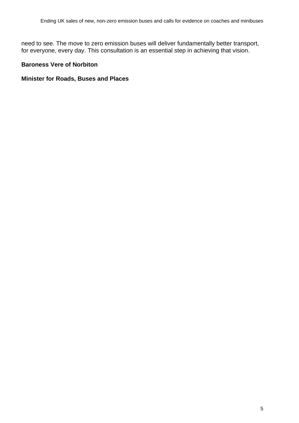need to see. The move to zero emission buses will deliver fundamentally better transport, for everyone, every day. This consultation is an essential step in achieving that vision.

#### **Baroness Vere of Norbiton**

#### **Minister for Roads, Buses and Places**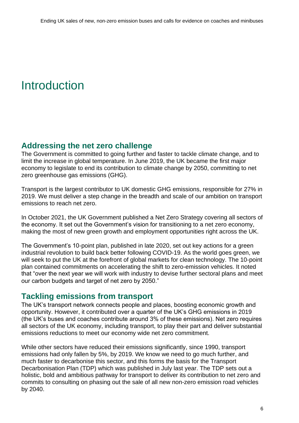## <span id="page-5-0"></span>Introduction

### **Addressing the net zero challenge**

The Government is committed to going further and faster to tackle climate change, and to limit the increase in global temperature. In June 2019, the UK became the first major economy to legislate to end its contribution to climate change by 2050, committing to net zero greenhouse gas emissions (GHG).

Transport is the largest contributor to UK domestic GHG emissions, responsible for 27% in 2019. We must deliver a step change in the breadth and scale of our ambition on transport emissions to reach net zero.

In October 2021, the UK Government published a Net Zero Strategy covering all sectors of the economy. It set out the Government's vision for transitioning to a net zero economy, making the most of new green growth and employment opportunities right across the UK.

The Government's 10-point plan, published in late 2020, set out key actions for a green industrial revolution to build back better following COVID-19. As the world goes green, we will seek to put the UK at the forefront of global markets for clean technology. The 10-point plan contained commitments on accelerating the shift to zero-emission vehicles. It noted that "over the next year we will work with industry to devise further sectoral plans and meet our carbon budgets and target of net zero by 2050."

## **Tackling emissions from transport**

The UK's transport network connects people and places, boosting economic growth and opportunity. However, it contributed over a quarter of the UK's GHG emissions in 2019 (the UK's buses and coaches contribute around 3% of these emissions). Net zero requires all sectors of the UK economy, including transport, to play their part and deliver substantial emissions reductions to meet our economy wide net zero commitment.

While other sectors have reduced their emissions significantly, since 1990, transport emissions had only fallen by 5%, by 2019. We know we need to go much further, and much faster to decarbonise this sector, and this forms the basis for the Transport Decarbonisation Plan (TDP) which was published in July last year. The TDP sets out a holistic, bold and ambitious pathway for transport to deliver its contribution to net zero and commits to consulting on phasing out the sale of all new non-zero emission road vehicles by 2040.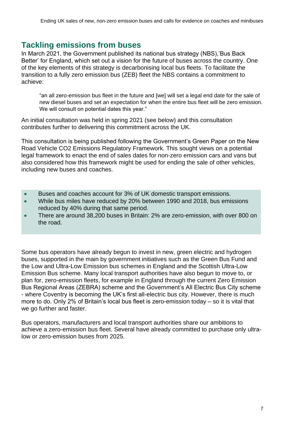### **Tackling emissions from buses**

In March 2021, the Government published its national bus strategy (NBS),'Bus Back Better' for England, which set out a vision for the future of buses across the country. One of the key elements of this strategy is decarbonising local bus fleets. To facilitate the transition to a fully zero emission bus (ZEB) fleet the NBS contains a commitment to achieve:

"an all zero-emission bus fleet in the future and [we] will set a legal end date for the sale of new diesel buses and set an expectation for when the entire bus fleet will be zero emission. We will consult on potential dates this year."

An initial consultation was held in spring 2021 (see below) and this consultation contributes further to delivering this commitment across the UK.

This consultation is being published following the Government's Green Paper on the New Road Vehicle CO2 Emissions Regulatory Framework. This sought views on a potential legal framework to enact the end of sales dates for non-zero emission cars and vans but also considered how this framework might be used for ending the sale of other vehicles, including new buses and coaches.

- Buses and coaches account for 3% of UK domestic transport emissions.
- While bus miles have reduced by 20% between 1990 and 2018, bus emissions reduced by 40% during that same period.
- There are around 38,200 buses in Britain: 2% are zero-emission, with over 800 on the road.

Some bus operators have already begun to invest in new, green electric and hydrogen buses, supported in the main by government initiatives such as the Green Bus Fund and the Low and Ultra-Low Emission bus schemes in England and the Scottish Ultra-Low Emission Bus scheme. Many local transport authorities have also begun to move to, or plan for, zero-emission fleets, for example in England through the current Zero Emission Bus Regional Areas (ZEBRA) scheme and the Government's All Electric Bus City scheme - where Coventry is becoming the UK's first all-electric bus city. However, there is much more to do. Only 2% of Britain's local bus fleet is zero-emission today – so it is vital that we go further and faster.

Bus operators, manufacturers and local transport authorities share our ambitions to achieve a zero-emission bus fleet. Several have already committed to purchase only ultralow or zero-emission buses from 2025.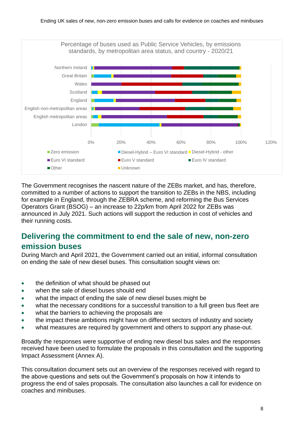

The Government recognises the nascent nature of the ZEBs market, and has, therefore, committed to a number of actions to support the transition to ZEBs in the NBS, including for example in England, through the ZEBRA scheme, and reforming the Bus Services Operators Grant (BSOG) – an increase to 22p/km from April 2022 for ZEBs was announced in July 2021. Such actions will support the reduction in cost of vehicles and their running costs.

## **Delivering the commitment to end the sale of new, non-zero emission buses**

During March and April 2021, the Government carried out an initial, informal consultation on ending the sale of new diesel buses. This consultation sought views on:

- the definition of what should be phased out
- when the sale of diesel buses should end
- what the impact of ending the sale of new diesel buses might be
- what the necessary conditions for a successful transition to a full green bus fleet are
- what the barriers to achieving the proposals are
- the impact these ambitions might have on different sectors of industry and society
- what measures are required by government and others to support any phase-out.

Broadly the responses were supportive of ending new diesel bus sales and the responses received have been used to formulate the proposals in this consultation and the supporting Impact Assessment (Annex A).

This consultation document sets out an overview of the responses received with regard to the above questions and sets out the Government's proposals on how it intends to progress the end of sales proposals. The consultation also launches a call for evidence on coaches and minibuses.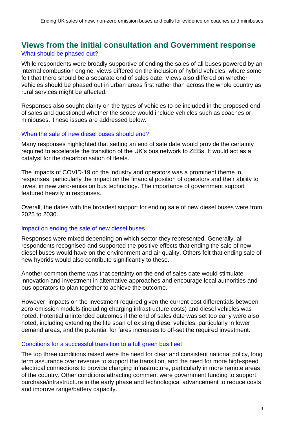#### **Views from the initial consultation and Government response** What should be phased out?

While respondents were broadly supportive of ending the sales of all buses powered by an internal combustion engine, views differed on the inclusion of hybrid vehicles, where some felt that there should be a separate end of sales date. Views also differed on whether vehicles should be phased out in urban areas first rather than across the whole country as rural services might be affected.

Responses also sought clarity on the types of vehicles to be included in the proposed end of sales and questioned whether the scope would include vehicles such as coaches or minibuses. These issues are addressed below.

#### When the sale of new diesel buses should end?

Many responses highlighted that setting an end of sale date would provide the certainty required to accelerate the transition of the UK's bus network to ZEBs. It would act as a catalyst for the decarbonisation of fleets.

The impacts of COVID-19 on the industry and operators was a prominent theme in responses, particularly the impact on the financial position of operators and their ability to invest in new zero-emission bus technology. The importance of government support featured heavily in responses.

Overall, the dates with the broadest support for ending sale of new diesel buses were from 2025 to 2030.

#### Impact on ending the sale of new diesel buses

Responses were mixed depending on which sector they represented. Generally, all respondents recognised and supported the positive effects that ending the sale of new diesel buses would have on the environment and air quality. Others felt that ending sale of new hybrids would also contribute significantly to these.

Another common theme was that certainty on the end of sales date would stimulate innovation and investment in alternative approaches and encourage local authorities and bus operators to plan together to achieve the outcome.

However, impacts on the investment required given the current cost differentials between zero-emission models (including charging infrastructure costs) and diesel vehicles was noted. Potential unintended outcomes if the end of sales date was set too early were also noted, including extending the life span of existing diesel vehicles, particularly in lower demand areas, and the potential for fares increases to off-set the required investment.

#### Conditions for a successful transition to a full green bus fleet

The top three conditions raised were the need for clear and consistent national policy, long term assurance over revenue to support the transition, and the need for more high-speed electrical connections to provide charging infrastructure, particularly in more remote areas of the country. Other conditions attracting comment were government funding to support purchase/infrastructure in the early phase and technological advancement to reduce costs and improve range/battery capacity.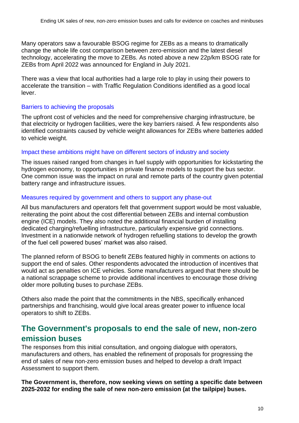Many operators saw a favourable BSOG regime for ZEBs as a means to dramatically change the whole life cost comparison between zero-emission and the latest diesel technology, accelerating the move to ZEBs. As noted above a new 22p/km BSOG rate for ZEBs from April 2022 was announced for England in July 2021.

There was a view that local authorities had a large role to play in using their powers to accelerate the transition – with Traffic Regulation Conditions identified as a good local lever.

#### Barriers to achieving the proposals

The upfront cost of vehicles and the need for comprehensive charging infrastructure, be that electricity or hydrogen facilities, were the key barriers raised. A few respondents also identified constraints caused by vehicle weight allowances for ZEBs where batteries added to vehicle weight.

#### Impact these ambitions might have on different sectors of industry and society

The issues raised ranged from changes in fuel supply with opportunities for kickstarting the hydrogen economy, to opportunities in private finance models to support the bus sector. One common issue was the impact on rural and remote parts of the country given potential battery range and infrastructure issues.

#### Measures required by government and others to support any phase-out

All bus manufacturers and operators felt that government support would be most valuable, reiterating the point about the cost differential between ZEBs and internal combustion engine (ICE) models. They also noted the additional financial burden of installing dedicated charging/refuelling infrastructure, particularly expensive grid connections. Investment in a nationwide network of hydrogen refuelling stations to develop the growth of the fuel cell powered buses' market was also raised.

The planned reform of BSOG to benefit ZEBs featured highly in comments on actions to support the end of sales. Other respondents advocated the introduction of incentives that would act as penalties on ICE vehicles. Some manufacturers argued that there should be a national scrappage scheme to provide additional incentives to encourage those driving older more polluting buses to purchase ZEBs.

Others also made the point that the commitments in the NBS, specifically enhanced partnerships and franchising, would give local areas greater power to influence local operators to shift to ZEBs.

### **The Government's proposals to end the sale of new, non-zero emission buses**

The responses from this initial consultation, and ongoing dialogue with operators, manufacturers and others, has enabled the refinement of proposals for progressing the end of sales of new non-zero emission buses and helped to develop a draft Impact Assessment to support them.

**The Government is, therefore, now seeking views on setting a specific date between 2025-2032 for ending the sale of new non-zero emission (at the tailpipe) buses.**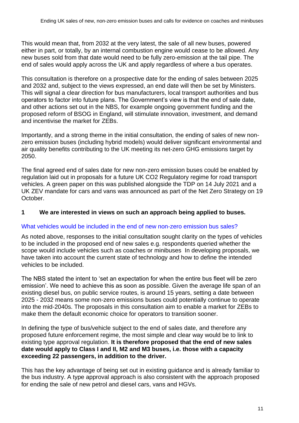This would mean that, from 2032 at the very latest, the sale of all new buses, powered either in part, or totally, by an internal combustion engine would cease to be allowed. Any new buses sold from that date would need to be fully zero-emission at the tail pipe. The end of sales would apply across the UK and apply regardless of where a bus operates.

This consultation is therefore on a prospective date for the ending of sales between 2025 and 2032 and, subject to the views expressed, an end date will then be set by Ministers. This will signal a clear direction for bus manufacturers, local transport authorities and bus operators to factor into future plans. The Government's view is that the end of sale date, and other actions set out in the NBS, for example ongoing government funding and the proposed reform of BSOG in England, will stimulate innovation, investment, and demand and incentivise the market for ZEBs.

Importantly, and a strong theme in the initial consultation, the ending of sales of new nonzero emission buses (including hybrid models) would deliver significant environmental and air quality benefits contributing to the UK meeting its net-zero GHG emissions target by 2050.

The final agreed end of sales date for new non-zero emission buses could be enabled by regulation laid out in proposals for a future UK CO2 Regulatory regime for road transport vehicles. A [green paper](https://www.gov.uk/government/consultations/co2-emissions-regulatory-framework-for-all-newly-sold-road-vehicles-in-the-uk) on this was published alongside the TDP on 14 July 2021 and a UK ZEV mandate for cars and vans was announced as part of the Net Zero Strategy on 19 October.

#### **1 We are interested in views on such an approach being applied to buses.**

#### What vehicles would be included in the end of new non-zero emission bus sales?

As noted above, responses to the initial consultation sought clarity on the types of vehicles to be included in the proposed end of new sales e.g. respondents queried whether the scope would include vehicles such as coaches or minibuses In developing proposals, we have taken into account the current state of technology and how to define the intended vehicles to be included.

The NBS stated the intent to 'set an expectation for when the entire bus fleet will be zero emission'. We need to achieve this as soon as possible. Given the average life span of an existing diesel bus, on public service routes, is around 15 years, setting a date between 2025 - 2032 means some non-zero emissions buses could potentially continue to operate into the mid-2040s. The proposals in this consultation aim to enable a market for ZEBs to make them the default economic choice for operators to transition sooner.

In defining the type of bus/vehicle subject to the end of sales date, and therefore any proposed future enforcement regime, the most simple and clear way would be to link to existing type approval regulation. **It is therefore proposed that the end of new sales date would apply to Class I and II, M2 and M3 buses, i.e. those with a capacity exceeding 22 passengers, in addition to the driver.**

This has the key advantage of being set out in existing guidance and is already familiar to the bus industry. A type approval approach is also consistent with the approach proposed for ending the sale of new petrol and diesel cars, vans and HGVs.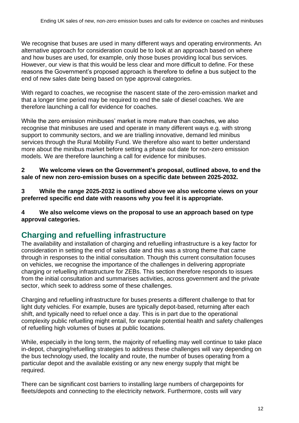We recognise that buses are used in many different ways and operating environments. An alternative approach for consideration could be to look at an approach based on where and how buses are used, for example, only those buses providing local bus services. However, our view is that this would be less clear and more difficult to define. For these reasons the Government's proposed approach is therefore to define a bus subject to the end of new sales date being based on type approval categories.

With regard to coaches, we recognise the nascent state of the zero-emission market and that a longer time period may be required to end the sale of diesel coaches. We are therefore launching a call for evidence for coaches.

While the zero emission minibuses' market is more mature than coaches, we also recognise that minibuses are used and operate in many different ways e.g. with strong support to community sectors, and we are trialling innovative, demand led minibus services through the Rural Mobility Fund. We therefore also want to better understand more about the minibus market before setting a phase out date for non-zero emission models. We are therefore launching a call for evidence for minibuses.

**2 We welcome views on the Government's proposal, outlined above, to end the sale of new non zero-emission buses on a specific date between 2025-2032.**

**3 While the range 2025-2032 is outlined above we also welcome views on your preferred specific end date with reasons why you feel it is appropriate.**

**4 We also welcome views on the proposal to use an approach based on type approval categories.**

### **Charging and refuelling infrastructure**

The availability and installation of charging and refuelling infrastructure is a key factor for consideration in setting the end of sales date and this was a strong theme that came through in responses to the initial consultation. Though this current consultation focuses on vehicles, we recognise the importance of the challenges in delivering appropriate charging or refuelling infrastructure for ZEBs. This section therefore responds to issues from the initial consultation and summarises activities, across government and the private sector, which seek to address some of these challenges.

Charging and refuelling infrastructure for buses presents a different challenge to that for light duty vehicles. For example, buses are typically depot-based, returning after each shift, and typically need to refuel once a day. This is in part due to the operational complexity public refuelling might entail, for example potential health and safety challenges of refuelling high volumes of buses at public locations.

While, especially in the long term, the majority of refuelling may well continue to take place in-depot, charging/refuelling strategies to address these challenges will vary depending on the bus technology used, the locality and route, the number of buses operating from a particular depot and the available existing or any new energy supply that might be required.

There can be significant cost barriers to installing large numbers of chargepoints for fleets/depots and connecting to the electricity network. Furthermore, costs will vary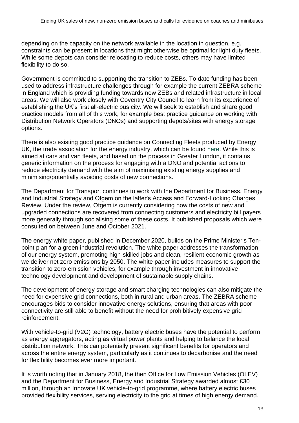depending on the capacity on the network available in the location in question, e.g. constraints can be present in locations that might otherwise be optimal for light duty fleets. While some depots can consider relocating to reduce costs, others may have limited flexibility to do so.

Government is committed to supporting the transition to ZEBs. To date funding has been used to address infrastructure challenges through for example the current ZEBRA scheme in England which is providing funding towards new ZEBs and related infrastructure in local areas. We will also work closely with Coventry City Council to learn from its experience of establishing the UK's first all-electric bus city. We will seek to establish and share good practice models from all of this work, for example best practice guidance on working with Distribution Network Operators (DNOs) and supporting depots/sites with energy storage options.

There is also existing good practice guidance on Connecting Fleets produced by Energy UK, the trade association for the energy industry, which can be found [here.](https://www.energy-uk.org.uk/publication.html?task=file.download&id=7646) While this is aimed at cars and van fleets, and based on the process in Greater London, it contains generic information on the process for engaging with a DNO and potential actions to reduce electricity demand with the aim of maximising existing energy supplies and minimising/potentially avoiding costs of new connections.

The Department for Transport continues to work with the Department for Business, Energy and Industrial Strategy and Ofgem on the latter's Access and Forward-Looking Charges Review. Under the review, Ofgem is currently considering how the costs of new and upgraded connections are recovered from connecting customers and electricity bill payers more generally through socialising some of these costs. It published proposals which were consulted on between June and October 2021.

The energy white paper, published in December 2020, builds on the Prime Minister's Tenpoint plan for a green industrial revolution. The white paper addresses the transformation of our energy system, promoting high-skilled jobs and clean, resilient economic growth as we deliver net zero emissions by 2050. The white paper includes measures to support the transition to zero-emission vehicles, for example through investment in innovative technology development and development of sustainable supply chains.

The development of energy storage and smart charging technologies can also mitigate the need for expensive grid connections, both in rural and urban areas. The ZEBRA scheme encourages bids to consider innovative energy solutions, ensuring that areas with poor connectivity are still able to benefit without the need for prohibitively expensive grid reinforcement.

With vehicle-to-grid (V2G) technology, battery electric buses have the potential to perform as energy aggregators, acting as virtual power plants and helping to balance the local distribution network. This can potentially present significant benefits for operators and across the entire energy system, particularly as it continues to decarbonise and the need for flexibility becomes ever more important.

It is worth noting that in January 2018, the then Office for Low Emission Vehicles (OLEV) and the Department for Business, Energy and Industrial Strategy awarded almost £30 million, through an Innovate UK vehicle-to-grid programme, where battery electric buses provided flexibility services, serving electricity to the grid at times of high energy demand.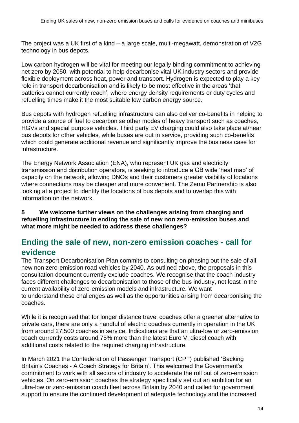The project was a UK first of a kind – a large scale, multi-megawatt, demonstration of V2G technology in bus depots.

Low carbon hydrogen will be vital for meeting our legally binding commitment to achieving net zero by 2050, with potential to help decarbonise vital UK industry sectors and provide flexible deployment across heat, power and transport. Hydrogen is expected to play a key role in transport decarbonisation and is likely to be most effective in the areas 'that batteries cannot currently reach', where energy density requirements or duty cycles and refuelling times make it the most suitable low carbon energy source.

Bus depots with hydrogen refuelling infrastructure can also deliver co-benefits in helping to provide a source of fuel to decarbonise other modes of heavy transport such as coaches, HGVs and special purpose vehicles. Third party EV charging could also take place at/near bus depots for other vehicles, while buses are out in service, providing such co-benefits which could generate additional revenue and significantly improve the business case for infrastructure.

The Energy Network Association (ENA), who represent UK gas and electricity transmission and distribution operators, is seeking to introduce a GB wide 'heat map' of capacity on the network, allowing DNOs and their customers greater visibility of locations where connections may be cheaper and more convenient. The Zemo Partnership is also looking at a project to identify the locations of bus depots and to overlap this with information on the network.

**5 We welcome further views on the challenges arising from charging and refuelling infrastructure in ending the sale of new non zero-emission buses and what more might be needed to address these challenges?**

### **Ending the sale of new, non-zero emission coaches - call for evidence**

The Transport Decarbonisation Plan commits to consulting on phasing out the sale of all new non zero-emission road vehicles by 2040. As outlined above, the proposals in this consultation document currently exclude coaches. We recognise that the coach industry faces different challenges to decarbonisation to those of the bus industry, not least in the current availability of zero-emission models and infrastructure. We want to understand these challenges as well as the opportunities arising from decarbonising the coaches.

While it is recognised that for longer distance travel coaches offer a greener alternative to private cars, there are only a handful of electric coaches currently in operation in the UK from around 27,500 coaches in service. Indications are that an ultra-low or zero-emission coach currently costs around 75% more than the latest Euro VI diesel coach with additional costs related to the required charging infrastructure.

In March 2021 the Confederation of Passenger Transport (CPT) published ['Backing](https://www.cpt-uk.org/news/backing-britain-s-coaches-a-coach-strategy-for-britain/)  Britain's Coaches - [A Coach Strategy for Britain'.](https://www.cpt-uk.org/news/backing-britain-s-coaches-a-coach-strategy-for-britain/) This welcomed the Government's commitment to work with all sectors of industry to accelerate the roll out of zero-emission vehicles. On zero-emission coaches the strategy specifically set out an ambition for an ultra-low or zero-emission coach fleet across Britain by 2040 and called for government support to ensure the continued development of adequate technology and the increased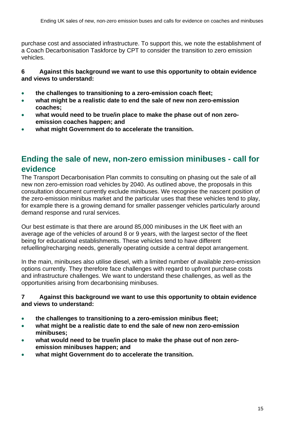purchase cost and associated infrastructure. To support this, we note the establishment of a Coach Decarbonisation Taskforce by CPT to consider the transition to zero emission vehicles.

#### **6 Against this background we want to use this opportunity to obtain evidence and views to understand:**

- **the challenges to transitioning to a zero-emission coach fleet;**
- **what might be a realistic date to end the sale of new non zero-emission coaches;**
- **what would need to be true/in place to make the phase out of non zeroemission coaches happen; and**
- **what might Government do to accelerate the transition.**

## **Ending the sale of new, non-zero emission minibuses - call for evidence**

The Transport Decarbonisation Plan commits to consulting on phasing out the sale of all new non zero-emission road vehicles by 2040. As outlined above, the proposals in this consultation document currently exclude minibuses. We recognise the nascent position of the zero-emission minibus market and the particular uses that these vehicles tend to play, for example there is a growing demand for smaller passenger vehicles particularly around demand response and rural services.

Our best estimate is that there are around 85,000 minibuses in the UK fleet with an average age of the vehicles of around 8 or 9 years, with the largest sector of the fleet being for educational establishments. These vehicles tend to have different refuelling/recharging needs, generally operating outside a central depot arrangement.

In the main, minibuses also utilise diesel, with a limited number of available zero-emission options currently. They therefore face challenges with regard to upfront purchase costs and infrastructure challenges. We want to understand these challenges, as well as the opportunities arising from decarbonising minibuses.

#### **7 Against this background we want to use this opportunity to obtain evidence and views to understand:**

- **the challenges to transitioning to a zero-emission minibus fleet;**
- **what might be a realistic date to end the sale of new non zero-emission minibuses;**
- **what would need to be true/in place to make the phase out of non zeroemission minibuses happen; and**
- **what might Government do to accelerate the transition.**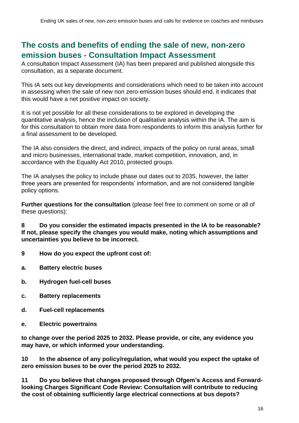### **The costs and benefits of ending the sale of new, non-zero emission buses - Consultation Impact Assessment**

A consultation Impact Assessment (IA) has been prepared and published alongside this consultation, as a separate document.

This IA sets out key developments and considerations which need to be taken into account in assessing when the sale of new non zero-emission buses should end, it indicates that this would have a net positive impact on society.

It is not yet possible for all these considerations to be explored in developing the quantitative analysis, hence the inclusion of qualitative analysis within the IA. The aim is for this consultation to obtain more data from respondents to inform this analysis further for a final assessment to be developed.

The IA also considers the direct, and indirect, impacts of the policy on rural areas, small and micro businesses, international trade, market competition, innovation, and, in accordance with the Equality Act 2010, protected groups.

The IA analyses the policy to include phase out dates out to 2035, however, the latter three years are presented for respondents' information, and are not considered tangible policy options.

**Further questions for the consultation** (please feel free to comment on some or all of these questions):

**8 Do you consider the estimated impacts presented in the IA to be reasonable? If not, please specify the changes you would make, noting which assumptions and uncertainties you believe to be incorrect.**

- **9 How do you expect the upfront cost of:**
- **a. Battery electric buses**
- **b. Hydrogen fuel-cell buses**
- **c. Battery replacements**
- **d. Fuel-cell replacements**
- **e. Electric powertrains**

**to change over the period 2025 to 2032. Please provide, or cite, any evidence you may have, or which informed your understanding.**

**10 In the absence of any policy/regulation, what would you expect the uptake of zero emission buses to be over the period 2025 to 2032.**

**11 Do you believe that changes proposed through Ofgem's Access and Forwardlooking Charges Significant Code Review: Consultation will contribute to reducing the cost of obtaining sufficiently large electrical connections at bus depots?**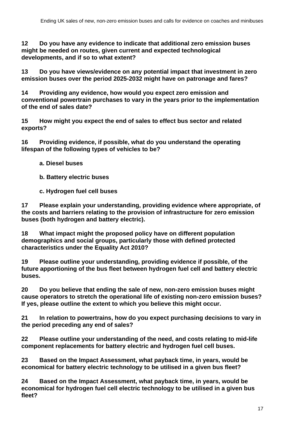**12 Do you have any evidence to indicate that additional zero emission buses might be needed on routes, given current and expected technological developments, and if so to what extent?**

**13 Do you have views/evidence on any potential impact that investment in zero emission buses over the period 2025-2032 might have on patronage and fares?**

**14 Providing any evidence, how would you expect zero emission and conventional powertrain purchases to vary in the years prior to the implementation of the end of sales date?**

**15 How might you expect the end of sales to effect bus sector and related exports?**

**16 Providing evidence, if possible, what do you understand the operating lifespan of the following types of vehicles to be?**

- **a. Diesel buses**
- **b. Battery electric buses**
- **c. Hydrogen fuel cell buses**

**17 Please explain your understanding, providing evidence where appropriate, of the costs and barriers relating to the provision of infrastructure for zero emission buses (both hydrogen and battery electric).**

**18 What impact might the proposed policy have on different population demographics and social groups, particularly those with defined protected characteristics under the Equality Act 2010?**

**19 Please outline your understanding, providing evidence if possible, of the future apportioning of the bus fleet between hydrogen fuel cell and battery electric buses.**

**20 Do you believe that ending the sale of new, non-zero emission buses might cause operators to stretch the operational life of existing non-zero emission buses? If yes, please outline the extent to which you believe this might occur.**

**21 In relation to powertrains, how do you expect purchasing decisions to vary in the period preceding any end of sales?** 

**22 Please outline your understanding of the need, and costs relating to mid-life component replacements for battery electric and hydrogen fuel cell buses.**

**23 Based on the Impact Assessment, what payback time, in years, would be economical for battery electric technology to be utilised in a given bus fleet?**

**24 Based on the Impact Assessment, what payback time, in years, would be economical for hydrogen fuel cell electric technology to be utilised in a given bus fleet?**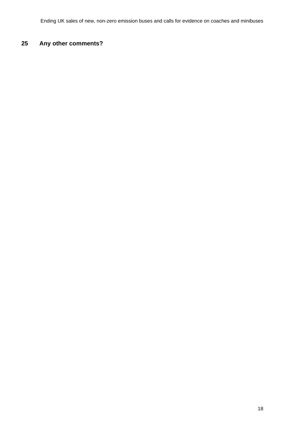### **Any other comments?**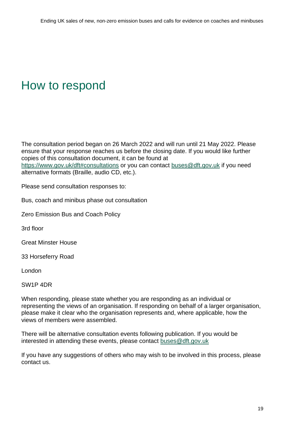## <span id="page-18-0"></span>How to respond

The consultation period began on 26 March 2022 and will run until 21 May 2022. Please ensure that your response reaches us before the closing date. If you would like further copies of this consultation document, it can be found at <https://www.gov.uk/dft#consultations> or you can contact [buses@dft.gov.uk](mailto:buses@dft.gov.uk) if you need alternative formats (Braille, audio CD, etc.).

Please send consultation responses to:

Bus, coach and minibus phase out consultation

Zero Emission Bus and Coach Policy

3rd floor

Great Minster House

33 Horseferry Road

London

SW1P 4DR

When responding, please state whether you are responding as an individual or representing the views of an organisation. If responding on behalf of a larger organisation, please make it clear who the organisation represents and, where applicable, how the views of members were assembled.

There will be alternative consultation events following publication. If you would be interested in attending these events, please contact [buses@dft.gov.uk](mailto:buses@dft.gov.uk)

If you have any suggestions of others who may wish to be involved in this process, please contact us.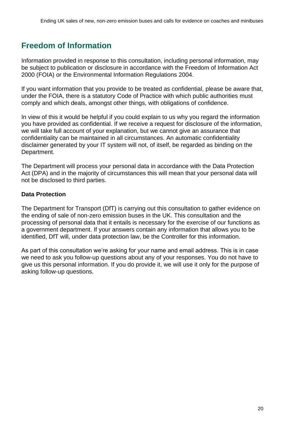## <span id="page-19-0"></span>**Freedom of Information**

Information provided in response to this consultation, including personal information, may be subject to publication or disclosure in accordance with the Freedom of Information Act 2000 (FOIA) or the Environmental Information Regulations 2004.

If you want information that you provide to be treated as confidential, please be aware that, under the FOIA, there is a statutory Code of Practice with which public authorities must comply and which deals, amongst other things, with obligations of confidence.

In view of this it would be helpful if you could explain to us why you regard the information you have provided as confidential. If we receive a request for disclosure of the information, we will take full account of your explanation, but we cannot give an assurance that confidentiality can be maintained in all circumstances. An automatic confidentiality disclaimer generated by your IT system will not, of itself, be regarded as binding on the Department.

The Department will process your personal data in accordance with the Data Protection Act (DPA) and in the majority of circumstances this will mean that your personal data will not be disclosed to third parties.

#### **Data Protection**

The Department for Transport (DfT) is carrying out this consultation to gather evidence on the ending of sale of non-zero emission buses in the UK. This consultation and the processing of personal data that it entails is necessary for the exercise of our functions as a government department. If your answers contain any information that allows you to be identified, DfT will, under data protection law, be the Controller for this information.

As part of this consultation we're asking for your name and email address. This is in case we need to ask you follow-up questions about any of your responses. You do not have to give us this personal information. If you do provide it, we will use it only for the purpose of asking follow-up questions.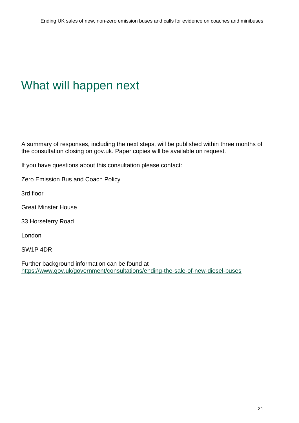## <span id="page-20-0"></span>What will happen next

A summary of responses, including the next steps, will be published within three months of the consultation closing on gov.uk. Paper copies will be available on request.

If you have questions about this consultation please contact:

Zero Emission Bus and Coach Policy

3rd floor

Great Minster House

33 Horseferry Road

London

SW1P 4DR

Further background information can be found at <https://www.gov.uk/government/consultations/ending-the-sale-of-new-diesel-buses>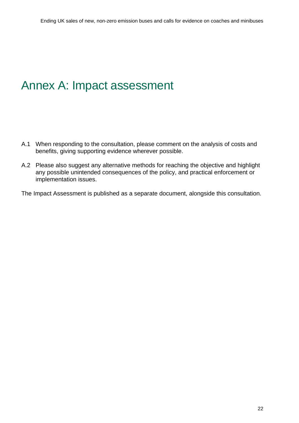## <span id="page-21-0"></span>Annex A: Impact assessment

- A.1 When responding to the consultation, please comment on the analysis of costs and benefits, giving supporting evidence wherever possible.
- A.2 Please also suggest any alternative methods for reaching the objective and highlight any possible unintended consequences of the policy, and practical enforcement or implementation issues.

The Impact Assessment is published as a separate document, alongside this consultation.